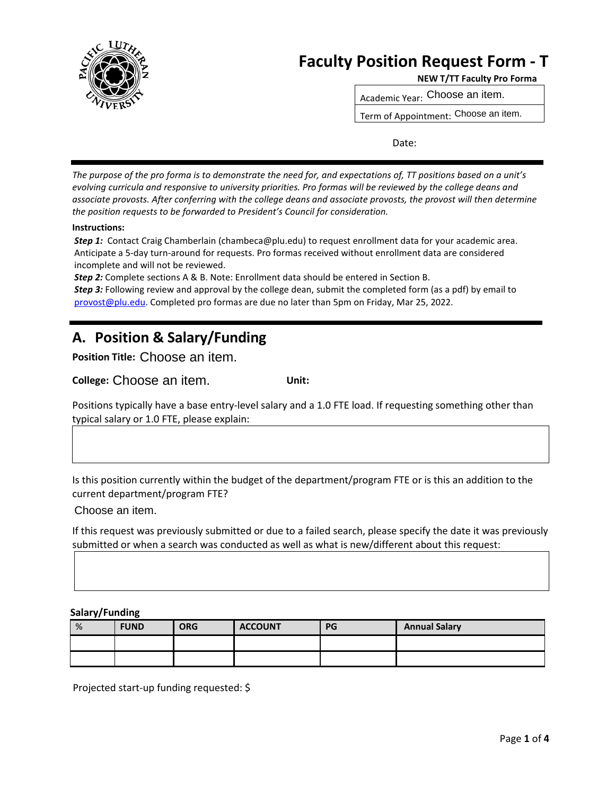

# **Faculty Position Request Form - T**<br>**NEW T/TT Faculty Pro Forma**

Academic Year: Choose an item. Choose an item.

Term of Appointment: Choose an item. Choose an item.

Date:

*The purpose of the pro forma is to demonstrate the need for, and expectations of, TT positions based on a unit's evolving curricula and responsive to university priorities. Pro formas will be reviewed by the college deans and associate provosts. After conferring with the college deans and associate provosts, the provost will then determine the position requests to be forwarded to President's Council for consideration.* 

#### **Instructions:**

*Step 1:* Contact Craig Chamberlain (chambeca@plu.edu) to request enrollment data for your academic area. Anticipate a 5-day turn-around for requests. Pro formas received without enrollment data are considered incomplete and will not be reviewed.

*Step 2:* Complete sections A & B. Note: Enrollment data should be entered in Section B.

**Step 3:** Following review and approval by the college dean, submit the completed form (as a pdf) by email to provost@plu.edu. Completed pro formas are due no later than 5pm on Friday, Mar 25, 2022.

## **A. Position & Salary/Funding**

**Position Title:** Choose an item. Choose an item.

**College:** Choose an item. **Unit:** Choose an item.

Positions typically have a base entry-level salary and a 1.0 FTE load. If requesting something other than typical salary or 1.0 FTE, please explain:

Is this position currently within the budget of the department/program FTE or is this an addition to the current department/program FTE?

Choose an item. Choose an item.

If this request was previously submitted or due to a failed search, please specify the date it was previously submitted or when a search was conducted as well as what is new/different about this request:

 **Salary/Funding**

| % | <b>FUND</b> | <b>ORG</b> | <b>ACCOUNT</b> | PG | <b>Annual Salary</b> |
|---|-------------|------------|----------------|----|----------------------|
|   |             |            |                |    |                      |
|   |             |            |                |    |                      |

Projected start-up funding requested: \$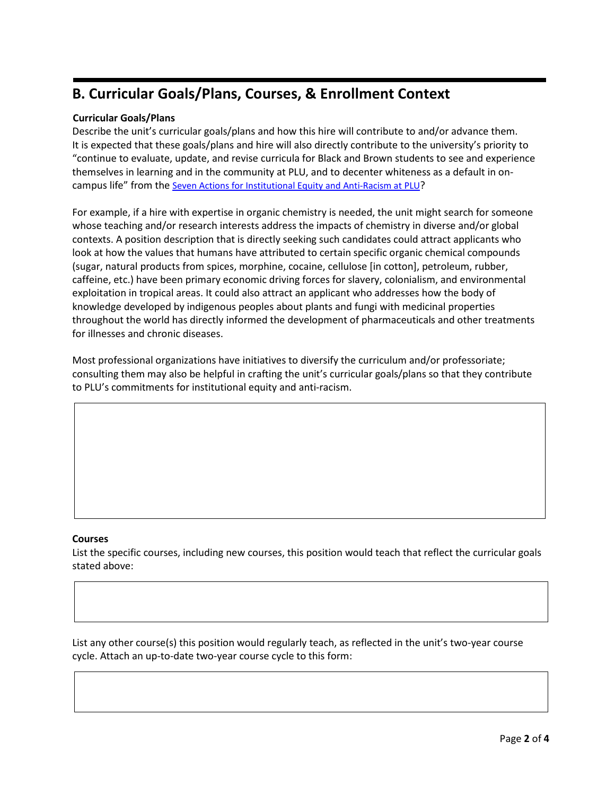# **B. Curricular Goals/Plans, Courses, & Enrollment Context**

### **Curricular Goals/Plans**

Describe the unit's curricular goals/plans and how this hire will contribute to and/or advance them. It is expected that these goals/plans and hire will also directly contribute to the university's priority to "continue to evaluate, update, and revise curricula for Black and Brown students to see and experience themselves in learning and in the community at PLU, and to decenter whiteness as a default in oncampus life" from th[e Seven Actions for Institutional Equity and Anti-Racism at PLU?](https://www.plu.edu/diversity-inclusion/seven-actions/)

For example, if a hire with expertise in organic chemistry is needed, the unit might search for someone whose teaching and/or research interests address the impacts of chemistry in diverse and/or global contexts. A position description that is directly seeking such candidates could attract applicants who look at how the values that humans have attributed to certain specific organic chemical compounds (sugar, natural products from spices, morphine, cocaine, cellulose [in cotton], petroleum, rubber, caffeine, etc.) have been primary economic driving forces for slavery, colonialism, and environmental exploitation in tropical areas. It could also attract an applicant who addresses how the body of knowledge developed by indigenous peoples about plants and fungi with medicinal properties throughout the world has directly informed the development of pharmaceuticals and other treatments for illnesses and chronic diseases.

Most professional organizations have initiatives to diversify the curriculum and/or professoriate; consulting them may also be helpful in crafting the unit's curricular goals/plans so that they contribute to PLU's commitments for institutional equity and anti-racism.

#### **Courses**

List the specific courses, including new courses, this position would teach that reflect the curricular goals stated above:

List any other course(s) this position would regularly teach, as reflected in the unit's two-year course cycle. Attach an up-to-date two-year course cycle to this form: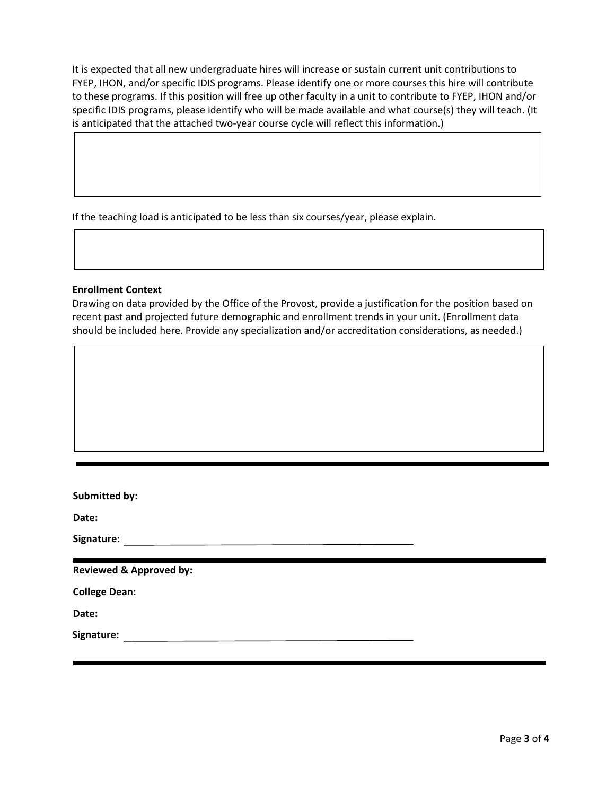It is expected that all new undergraduate hires will increase or sustain current unit contributions to FYEP, IHON, and/or specific IDIS programs. Please identify one or more courses this hire will contribute to these programs. If this position will free up other faculty in a unit to contribute to FYEP, IHON and/or specific IDIS programs, please identify who will be made available and what course(s) they will teach. (It is anticipated that the attached two-year course cycle will reflect this information.)

If the teaching load is anticipated to be less than six courses/year, please explain.

#### **Enrollment Context**

Drawing on data provided by the Office of the Provost, provide a justification for the position based on recent past and projected future demographic and enrollment trends in your unit. (Enrollment data should be included here. Provide any specialization and/or accreditation considerations, as needed.)

| Submitted by:                      |  |
|------------------------------------|--|
| Date:                              |  |
| Signature:                         |  |
|                                    |  |
| <b>Reviewed &amp; Approved by:</b> |  |
| <b>College Dean:</b>               |  |
| Date:                              |  |
| Signature:                         |  |
|                                    |  |